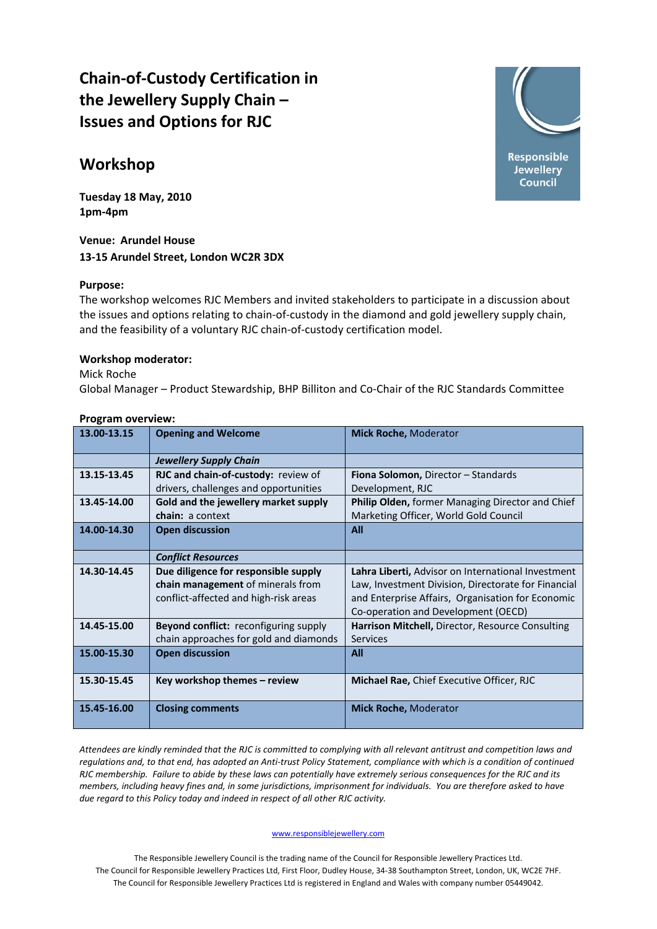# **Chain‐of‐Custody Certification in the Jewellery Supply Chain – Issues and Options for RJC**

## **Workshop**

**Tuesday 18 May, 2010 1pm‐4pm**

**Venue: Arundel House 13‐15 Arundel Street, London WC2R 3DX**

## **Purpose:**

The workshop welcomes RJC Members and invited stakeholders to participate in a discussion about the issues and options relating to chain‐of‐custody in the diamond and gold jewellery supply chain, and the feasibility of a voluntary RJC chain‐of‐custody certification model.

### **Workshop moderator:**

Mick Roche Global Manager – Product Stewardship, BHP Billiton and Co‐Chair of the RJC Standards Committee

| <b>Program overview:</b> |
|--------------------------|
|                          |

| <b>Jewellery Supply Chain</b><br>13.15-13.45<br><b>RJC and chain-of-custody:</b> review of<br>Fiona Solomon, Director - Standards<br>drivers, challenges and opportunities<br>Development, RJC<br>13.45-14.00<br>Gold and the jewellery market supply<br>Philip Olden, former Managing Director and Chief<br>Marketing Officer, World Gold Council<br>chain: a context<br>14.00-14.30<br><b>Open discussion</b><br>All<br><b>Conflict Resources</b><br>14.30-14.45<br>Due diligence for responsible supply<br>Lahra Liberti, Advisor on International Investment<br>chain management of minerals from<br>Law, Investment Division, Directorate for Financial<br>conflict-affected and high-risk areas<br>and Enterprise Affairs, Organisation for Economic<br>Co-operation and Development (OECD)<br>14.45-15.00<br><b>Beyond conflict:</b> reconfiguring supply<br>Harrison Mitchell, Director, Resource Consulting<br>chain approaches for gold and diamonds<br>Services<br>15.00-15.30<br><b>Open discussion</b><br>All<br>15.30-15.45<br>Key workshop themes - review<br><b>Michael Rae, Chief Executive Officer, RJC</b><br>15.45-16.00<br><b>Closing comments</b> | 13.00-13.15 | <b>Opening and Welcome</b> | <b>Mick Roche, Moderator</b> |
|-------------------------------------------------------------------------------------------------------------------------------------------------------------------------------------------------------------------------------------------------------------------------------------------------------------------------------------------------------------------------------------------------------------------------------------------------------------------------------------------------------------------------------------------------------------------------------------------------------------------------------------------------------------------------------------------------------------------------------------------------------------------------------------------------------------------------------------------------------------------------------------------------------------------------------------------------------------------------------------------------------------------------------------------------------------------------------------------------------------------------------------------------------------------------|-------------|----------------------------|------------------------------|
|                                                                                                                                                                                                                                                                                                                                                                                                                                                                                                                                                                                                                                                                                                                                                                                                                                                                                                                                                                                                                                                                                                                                                                         |             |                            |                              |
|                                                                                                                                                                                                                                                                                                                                                                                                                                                                                                                                                                                                                                                                                                                                                                                                                                                                                                                                                                                                                                                                                                                                                                         |             |                            |                              |
|                                                                                                                                                                                                                                                                                                                                                                                                                                                                                                                                                                                                                                                                                                                                                                                                                                                                                                                                                                                                                                                                                                                                                                         |             |                            |                              |
|                                                                                                                                                                                                                                                                                                                                                                                                                                                                                                                                                                                                                                                                                                                                                                                                                                                                                                                                                                                                                                                                                                                                                                         |             |                            |                              |
|                                                                                                                                                                                                                                                                                                                                                                                                                                                                                                                                                                                                                                                                                                                                                                                                                                                                                                                                                                                                                                                                                                                                                                         |             |                            |                              |
|                                                                                                                                                                                                                                                                                                                                                                                                                                                                                                                                                                                                                                                                                                                                                                                                                                                                                                                                                                                                                                                                                                                                                                         |             |                            |                              |
|                                                                                                                                                                                                                                                                                                                                                                                                                                                                                                                                                                                                                                                                                                                                                                                                                                                                                                                                                                                                                                                                                                                                                                         |             |                            |                              |
|                                                                                                                                                                                                                                                                                                                                                                                                                                                                                                                                                                                                                                                                                                                                                                                                                                                                                                                                                                                                                                                                                                                                                                         |             |                            |                              |
|                                                                                                                                                                                                                                                                                                                                                                                                                                                                                                                                                                                                                                                                                                                                                                                                                                                                                                                                                                                                                                                                                                                                                                         |             |                            |                              |
|                                                                                                                                                                                                                                                                                                                                                                                                                                                                                                                                                                                                                                                                                                                                                                                                                                                                                                                                                                                                                                                                                                                                                                         |             |                            |                              |
|                                                                                                                                                                                                                                                                                                                                                                                                                                                                                                                                                                                                                                                                                                                                                                                                                                                                                                                                                                                                                                                                                                                                                                         |             |                            |                              |
|                                                                                                                                                                                                                                                                                                                                                                                                                                                                                                                                                                                                                                                                                                                                                                                                                                                                                                                                                                                                                                                                                                                                                                         |             |                            |                              |
|                                                                                                                                                                                                                                                                                                                                                                                                                                                                                                                                                                                                                                                                                                                                                                                                                                                                                                                                                                                                                                                                                                                                                                         |             |                            |                              |
|                                                                                                                                                                                                                                                                                                                                                                                                                                                                                                                                                                                                                                                                                                                                                                                                                                                                                                                                                                                                                                                                                                                                                                         |             |                            |                              |
|                                                                                                                                                                                                                                                                                                                                                                                                                                                                                                                                                                                                                                                                                                                                                                                                                                                                                                                                                                                                                                                                                                                                                                         |             |                            |                              |
|                                                                                                                                                                                                                                                                                                                                                                                                                                                                                                                                                                                                                                                                                                                                                                                                                                                                                                                                                                                                                                                                                                                                                                         |             |                            |                              |
|                                                                                                                                                                                                                                                                                                                                                                                                                                                                                                                                                                                                                                                                                                                                                                                                                                                                                                                                                                                                                                                                                                                                                                         |             |                            |                              |
|                                                                                                                                                                                                                                                                                                                                                                                                                                                                                                                                                                                                                                                                                                                                                                                                                                                                                                                                                                                                                                                                                                                                                                         |             |                            |                              |
|                                                                                                                                                                                                                                                                                                                                                                                                                                                                                                                                                                                                                                                                                                                                                                                                                                                                                                                                                                                                                                                                                                                                                                         |             |                            | <b>Mick Roche, Moderator</b> |

Attendees are kindly reminded that the RJC is committed to complying with all relevant antitrust and competition laws and requlations and, to that end, has adopted an Anti-trust Policy Statement, compliance with which is a condition of continued RJC membership. Failure to abide by these laws can potentially have extremely serious consequences for the RJC and its members, including heavy fines and, in some jurisdictions, imprisonment for individuals. You are therefore asked to have *due regard to this Policy today and indeed in respect of all other RJC activity.*

#### www.responsiblejewellery.com

The Responsible Jewellery Council is the trading name of the Council for Responsible Jewellery Practices Ltd. The Council for Responsible Jewellery Practices Ltd, First Floor, Dudley House, 34‐38 Southampton Street, London, UK, WC2E 7HF. The Council for Responsible Jewellery Practices Ltd is registered in England and Wales with company number 05449042.